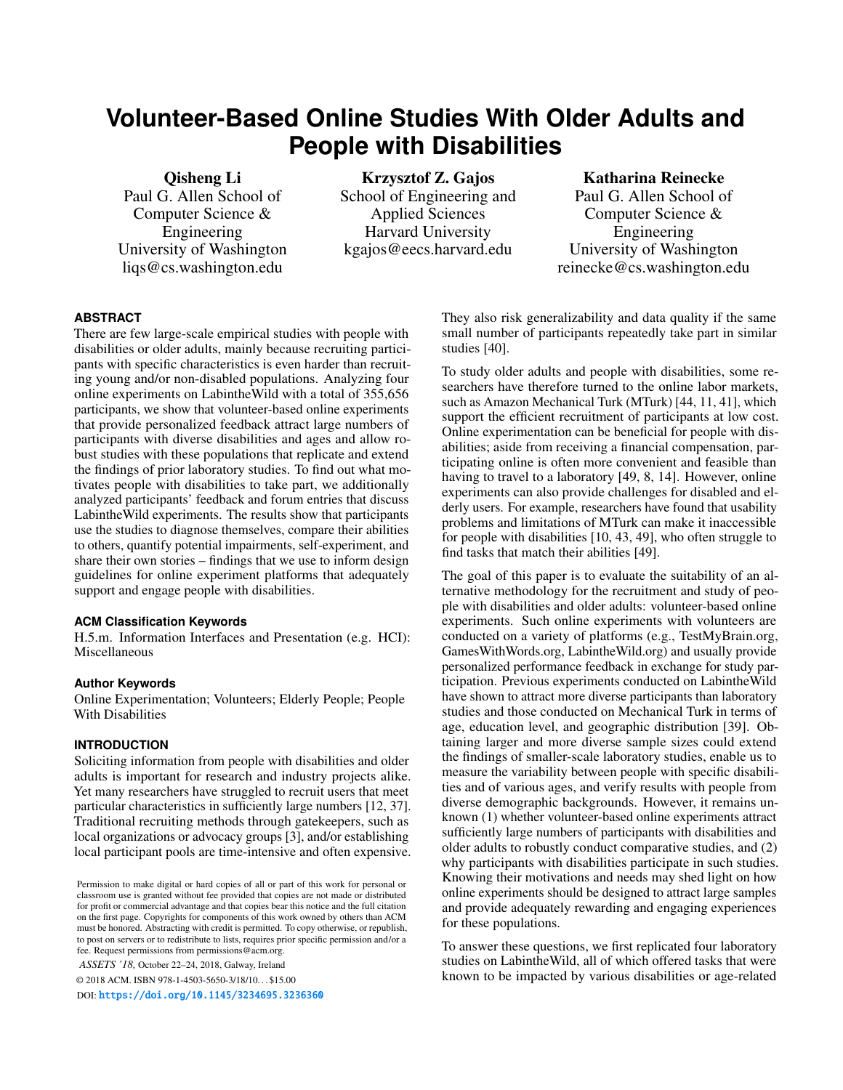# **Volunteer-Based Online Studies With Older Adults and People with Disabilities**

Paul G. Allen School of Computer Science & Engineering University of Washington liqs@cs.washington.edu

Qisheng Li Krzysztof Z. Gajos Katharina Reinecke School of Engineering and Paul G. Allen School of Harvard University Engineering

 Applied Sciences Computer Science & kgajos@eecs.harvard.edu University of Washington reinecke@cs.washington.edu

# **ABSTRACT**

There are few large-scale empirical studies with people with disabilities or older adults, mainly because recruiting participants with specific characteristics is even harder than recruiting young and/or non-disabled populations. Analyzing four online experiments on LabintheWild with a total of 355,656 participants, we show that volunteer-based online experiments that provide personalized feedback attract large numbers of participants with diverse disabilities and ages and allow robust studies with these populations that replicate and extend the findings of prior laboratory studies. To find out what motivates people with disabilities to take part, we additionally analyzed participants' feedback and forum entries that discuss LabintheWild experiments. The results show that participants use the studies to diagnose themselves, compare their abilities to others, quantify potential impairments, self-experiment, and share their own stories – findings that we use to inform design guidelines for online experiment platforms that adequately support and engage people with disabilities.

# **ACM Classification Keywords**

H.5.m. Information Interfaces and Presentation (e.g. HCI): Miscellaneous

#### **Author Keywords**

Online Experimentation; Volunteers; Elderly People; People With Disabilities

#### **INTRODUCTION**

Soliciting information from people with disabilities and older adults is important for research and industry projects alike. Yet many researchers have struggled to recruit users that meet particular characteristics in sufficiently large numbers [\[12,](#page-10-0) [37\]](#page-11-0). Traditional recruiting methods through gatekeepers, such as local organizations or advocacy groups [\[3\]](#page-10-1), and/or establishing local participant pools are time-intensive and often expensive.

*ASSETS '18,* October 22–24, 2018, Galway, Ireland

© 2018 ACM. ISBN 978-1-4503-5650-3/18/10. . . \$15.00

DOI: <https://doi.org/10.1145/3234695.3236360>

They also risk generalizability and data quality if the same small number of participants repeatedly take part in similar studies [\[40\]](#page-11-1).

To study older adults and people with disabilities, some researchers have therefore turned to the online labor markets, such as Amazon Mechanical Turk (MTurk) [\[44,](#page-11-2) [11,](#page-10-2) [41\]](#page-11-3), which support the efficient recruitment of participants at low cost. Online experimentation can be beneficial for people with disabilities; aside from receiving a financial compensation, participating online is often more convenient and feasible than having to travel to a laboratory [\[49,](#page-12-0) [8,](#page-10-3) [14\]](#page-10-4). However, online experiments can also provide challenges for disabled and elderly users. For example, researchers have found that usability problems and limitations of MTurk can make it inaccessible for people with disabilities [\[10,](#page-10-5) [43,](#page-11-4) [49\]](#page-12-0), who often struggle to find tasks that match their abilities [\[49\]](#page-12-0).

The goal of this paper is to evaluate the suitability of an alternative methodology for the recruitment and study of people with disabilities and older adults: volunteer-based online experiments. Such online experiments with volunteers are conducted on a variety of platforms (e.g., TestMyBrain.org, GamesWithWords.org, LabintheWild.org) and usually provide personalized performance feedback in exchange for study participation. Previous experiments conducted on LabintheWild have shown to attract more diverse participants than laboratory studies and those conducted on Mechanical Turk in terms of age, education level, and geographic distribution [\[39\]](#page-11-5). Obtaining larger and more diverse sample sizes could extend the findings of smaller-scale laboratory studies, enable us to measure the variability between people with specific disabilities and of various ages, and verify results with people from diverse demographic backgrounds. However, it remains unknown (1) whether volunteer-based online experiments attract sufficiently large numbers of participants with disabilities and older adults to robustly conduct comparative studies, and (2) why participants with disabilities participate in such studies. Knowing their motivations and needs may shed light on how online experiments should be designed to attract large samples and provide adequately rewarding and engaging experiences for these populations.

To answer these questions, we first replicated four laboratory studies on LabintheWild, all of which offered tasks that were known to be impacted by various disabilities or age-related

Permission to make digital or hard copies of all or part of this work for personal or classroom use is granted without fee provided that copies are not made or distributed for profit or commercial advantage and that copies bear this notice and the full citation on the first page. Copyrights for components of this work owned by others than ACM must be honored. Abstracting with credit is permitted. To copy otherwise, or republish, to post on servers or to redistribute to lists, requires prior specific permission and/or a fee. Request permissions from permissions@acm.org.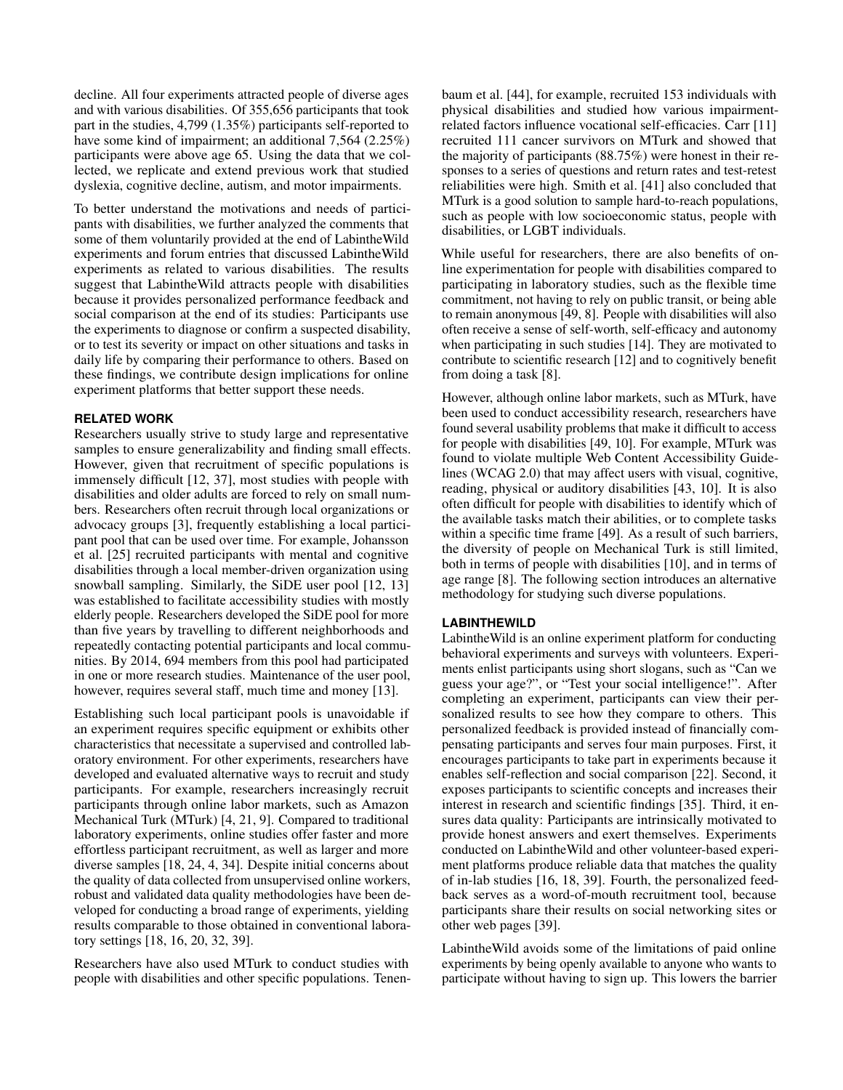decline. All four experiments attracted people of diverse ages and with various disabilities. Of 355,656 participants that took part in the studies, 4,799 (1.35%) participants self-reported to have some kind of impairment; an additional 7,564 (2.25%) participants were above age 65. Using the data that we collected, we replicate and extend previous work that studied dyslexia, cognitive decline, autism, and motor impairments.

To better understand the motivations and needs of participants with disabilities, we further analyzed the comments that some of them voluntarily provided at the end of LabintheWild experiments and forum entries that discussed LabintheWild experiments as related to various disabilities. The results suggest that LabintheWild attracts people with disabilities because it provides personalized performance feedback and social comparison at the end of its studies: Participants use the experiments to diagnose or confirm a suspected disability, or to test its severity or impact on other situations and tasks in daily life by comparing their performance to others. Based on these findings, we contribute design implications for online experiment platforms that better support these needs.

# **RELATED WORK**

Researchers usually strive to study large and representative samples to ensure generalizability and finding small effects. However, given that recruitment of specific populations is immensely difficult [\[12,](#page-10-0) [37\]](#page-11-0), most studies with people with disabilities and older adults are forced to rely on small numbers. Researchers often recruit through local organizations or advocacy groups [\[3\]](#page-10-1), frequently establishing a local participant pool that can be used over time. For example, Johansson et al. [\[25\]](#page-11-6) recruited participants with mental and cognitive disabilities through a local member-driven organization using snowball sampling. Similarly, the SiDE user pool [\[12,](#page-10-0) [13\]](#page-10-6) was established to facilitate accessibility studies with mostly elderly people. Researchers developed the SiDE pool for more than five years by travelling to different neighborhoods and repeatedly contacting potential participants and local communities. By 2014, 694 members from this pool had participated in one or more research studies. Maintenance of the user pool, however, requires several staff, much time and money [\[13\]](#page-10-6).

Establishing such local participant pools is unavoidable if an experiment requires specific equipment or exhibits other characteristics that necessitate a supervised and controlled laboratory environment. For other experiments, researchers have developed and evaluated alternative ways to recruit and study participants. For example, researchers increasingly recruit participants through online labor markets, such as Amazon Mechanical Turk (MTurk) [\[4,](#page-10-7) [21,](#page-10-8) [9\]](#page-10-9). Compared to traditional laboratory experiments, online studies offer faster and more effortless participant recruitment, as well as larger and more diverse samples [\[18,](#page-10-10) [24,](#page-11-7) [4,](#page-10-7) [34\]](#page-11-8). Despite initial concerns about the quality of data collected from unsupervised online workers, robust and validated data quality methodologies have been developed for conducting a broad range of experiments, yielding results comparable to those obtained in conventional laboratory settings [\[18,](#page-10-10) [16,](#page-10-11) [20,](#page-10-12) [32,](#page-11-9) [39\]](#page-11-5).

Researchers have also used MTurk to conduct studies with people with disabilities and other specific populations. Tenenbaum et al. [\[44\]](#page-11-2), for example, recruited 153 individuals with physical disabilities and studied how various impairmentrelated factors influence vocational self-efficacies. Carr [\[11\]](#page-10-2) recruited 111 cancer survivors on MTurk and showed that the majority of participants (88.75%) were honest in their responses to a series of questions and return rates and test-retest reliabilities were high. Smith et al. [\[41\]](#page-11-3) also concluded that MTurk is a good solution to sample hard-to-reach populations, such as people with low socioeconomic status, people with disabilities, or LGBT individuals.

While useful for researchers, there are also benefits of online experimentation for people with disabilities compared to participating in laboratory studies, such as the flexible time commitment, not having to rely on public transit, or being able to remain anonymous [\[49,](#page-12-0) [8\]](#page-10-3). People with disabilities will also often receive a sense of self-worth, self-efficacy and autonomy when participating in such studies [\[14\]](#page-10-4). They are motivated to contribute to scientific research [\[12\]](#page-10-0) and to cognitively benefit from doing a task [\[8\]](#page-10-3).

However, although online labor markets, such as MTurk, have been used to conduct accessibility research, researchers have found several usability problems that make it difficult to access for people with disabilities [\[49,](#page-12-0) [10\]](#page-10-5). For example, MTurk was found to violate multiple Web Content Accessibility Guidelines (WCAG 2.0) that may affect users with visual, cognitive, reading, physical or auditory disabilities [\[43,](#page-11-4) [10\]](#page-10-5). It is also often difficult for people with disabilities to identify which of the available tasks match their abilities, or to complete tasks within a specific time frame [\[49\]](#page-12-0). As a result of such barriers, the diversity of people on Mechanical Turk is still limited, both in terms of people with disabilities [\[10\]](#page-10-5), and in terms of age range [\[8\]](#page-10-3). The following section introduces an alternative methodology for studying such diverse populations.

#### **LABINTHEWILD**

LabintheWild is an online experiment platform for conducting behavioral experiments and surveys with volunteers. Experiments enlist participants using short slogans, such as "Can we guess your age?", or "Test your social intelligence!". After completing an experiment, participants can view their personalized results to see how they compare to others. This personalized feedback is provided instead of financially compensating participants and serves four main purposes. First, it encourages participants to take part in experiments because it enables self-reflection and social comparison [\[22\]](#page-10-13). Second, it exposes participants to scientific concepts and increases their interest in research and scientific findings [\[35\]](#page-11-10). Third, it ensures data quality: Participants are intrinsically motivated to provide honest answers and exert themselves. Experiments conducted on LabintheWild and other volunteer-based experiment platforms produce reliable data that matches the quality of in-lab studies [\[16,](#page-10-11) [18,](#page-10-10) [39\]](#page-11-5). Fourth, the personalized feedback serves as a word-of-mouth recruitment tool, because participants share their results on social networking sites or other web pages [\[39\]](#page-11-5).

LabintheWild avoids some of the limitations of paid online experiments by being openly available to anyone who wants to participate without having to sign up. This lowers the barrier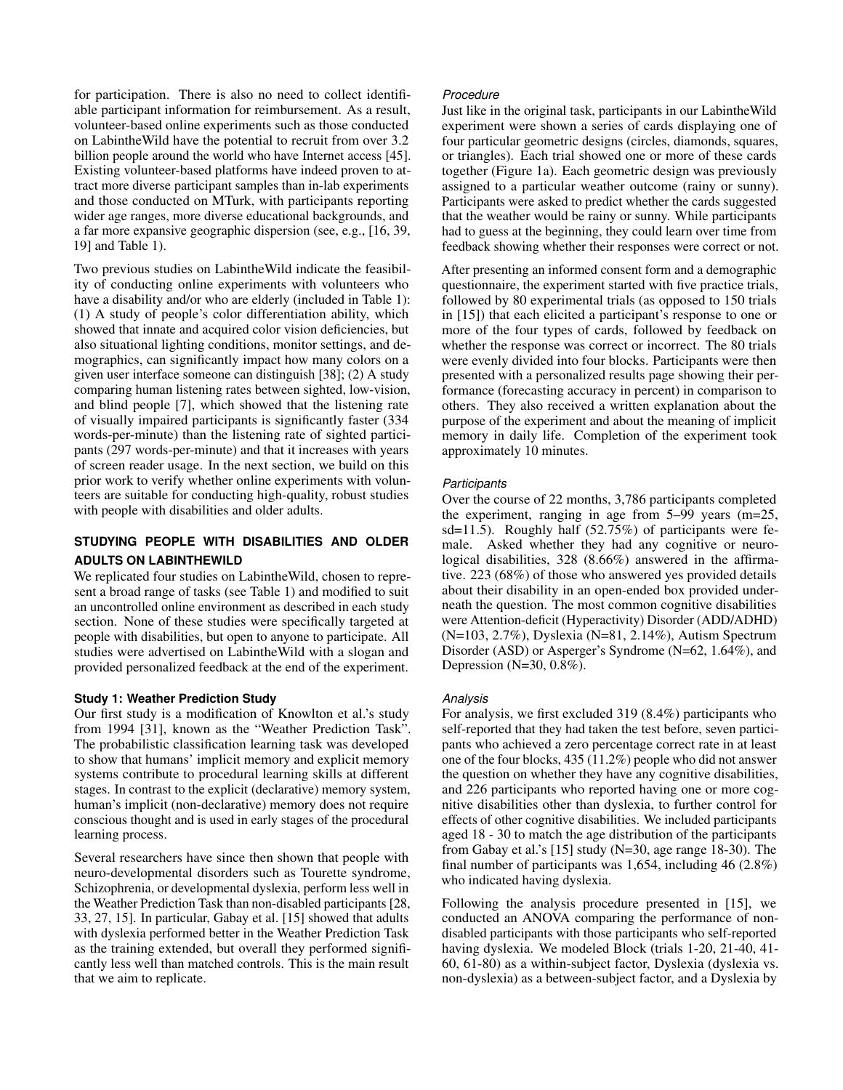for participation. There is also no need to collect identifiable participant information for reimbursement. As a result, volunteer-based online experiments such as those conducted on LabintheWild have the potential to recruit from over 3.2 billion people around the world who have Internet access [\[45\]](#page-11-11). Existing volunteer-based platforms have indeed proven to attract more diverse participant samples than in-lab experiments and those conducted on MTurk, with participants reporting wider age ranges, more diverse educational backgrounds, and a far more expansive geographic dispersion (see, e.g., [\[16,](#page-10-11) [39,](#page-11-5) [19\]](#page-10-14) and Table [1\)](#page-3-0).

Two previous studies on LabintheWild indicate the feasibility of conducting online experiments with volunteers who have a disability and/or who are elderly (included in Table [1\)](#page-3-0): (1) A study of people's color differentiation ability, which showed that innate and acquired color vision deficiencies, but also situational lighting conditions, monitor settings, and demographics, can significantly impact how many colors on a given user interface someone can distinguish [\[38\]](#page-11-12); (2) A study comparing human listening rates between sighted, low-vision, and blind people [\[7\]](#page-10-15), which showed that the listening rate of visually impaired participants is significantly faster (334 words-per-minute) than the listening rate of sighted participants (297 words-per-minute) and that it increases with years of screen reader usage. In the next section, we build on this prior work to verify whether online experiments with volunteers are suitable for conducting high-quality, robust studies with people with disabilities and older adults.

# **STUDYING PEOPLE WITH DISABILITIES AND OLDER ADULTS ON LABINTHEWILD**

We replicated four studies on LabintheWild, chosen to represent a broad range of tasks (see Table [1\)](#page-3-0) and modified to suit an uncontrolled online environment as described in each study section. None of these studies were specifically targeted at people with disabilities, but open to anyone to participate. All studies were advertised on LabintheWild with a slogan and provided personalized feedback at the end of the experiment.

# **Study 1: Weather Prediction Study**

Our first study is a modification of Knowlton et al.'s study from 1994 [\[31\]](#page-11-13), known as the "Weather Prediction Task". The probabilistic classification learning task was developed to show that humans' implicit memory and explicit memory systems contribute to procedural learning skills at different stages. In contrast to the explicit (declarative) memory system, human's implicit (non-declarative) memory does not require conscious thought and is used in early stages of the procedural learning process.

Several researchers have since then shown that people with neuro-developmental disorders such as Tourette syndrome, Schizophrenia, or developmental dyslexia, perform less well in the Weather Prediction Task than non-disabled participants [\[28,](#page-11-14) [33,](#page-11-15) [27,](#page-11-16) [15\]](#page-10-16). In particular, Gabay et al. [\[15\]](#page-10-16) showed that adults with dyslexia performed better in the Weather Prediction Task as the training extended, but overall they performed significantly less well than matched controls. This is the main result that we aim to replicate.

# *Procedure*

Just like in the original task, participants in our LabintheWild experiment were shown a series of cards displaying one of four particular geometric designs (circles, diamonds, squares, or triangles). Each trial showed one or more of these cards together (Figure [1a\)](#page-4-0). Each geometric design was previously assigned to a particular weather outcome (rainy or sunny). Participants were asked to predict whether the cards suggested that the weather would be rainy or sunny. While participants had to guess at the beginning, they could learn over time from feedback showing whether their responses were correct or not.

After presenting an informed consent form and a demographic questionnaire, the experiment started with five practice trials, followed by 80 experimental trials (as opposed to 150 trials in [\[15\]](#page-10-16)) that each elicited a participant's response to one or more of the four types of cards, followed by feedback on whether the response was correct or incorrect. The 80 trials were evenly divided into four blocks. Participants were then presented with a personalized results page showing their performance (forecasting accuracy in percent) in comparison to others. They also received a written explanation about the purpose of the experiment and about the meaning of implicit memory in daily life. Completion of the experiment took approximately 10 minutes.

# *Participants*

Over the course of 22 months, 3,786 participants completed the experiment, ranging in age from 5–99 years (m=25, sd=11.5). Roughly half (52.75%) of participants were female. Asked whether they had any cognitive or neurological disabilities, 328 (8.66%) answered in the affirmative. 223 (68%) of those who answered yes provided details about their disability in an open-ended box provided underneath the question. The most common cognitive disabilities were Attention-deficit (Hyperactivity) Disorder (ADD/ADHD) (N=103, 2.7%), Dyslexia (N=81, 2.14%), Autism Spectrum Disorder (ASD) or Asperger's Syndrome (N=62, 1.64%), and Depression (N=30, 0.8%).

# *Analysis*

For analysis, we first excluded 319 (8.4%) participants who self-reported that they had taken the test before, seven participants who achieved a zero percentage correct rate in at least one of the four blocks, 435 (11.2%) people who did not answer the question on whether they have any cognitive disabilities, and 226 participants who reported having one or more cognitive disabilities other than dyslexia, to further control for effects of other cognitive disabilities. We included participants aged 18 - 30 to match the age distribution of the participants from Gabay et al.'s [\[15\]](#page-10-16) study (N=30, age range 18-30). The final number of participants was 1,654, including 46 (2.8%) who indicated having dyslexia.

Following the analysis procedure presented in [\[15\]](#page-10-16), we conducted an ANOVA comparing the performance of nondisabled participants with those participants who self-reported having dyslexia. We modeled Block (trials 1-20, 21-40, 41-60, 61-80) as a within-subject factor, Dyslexia (dyslexia vs. non-dyslexia) as a between-subject factor, and a Dyslexia by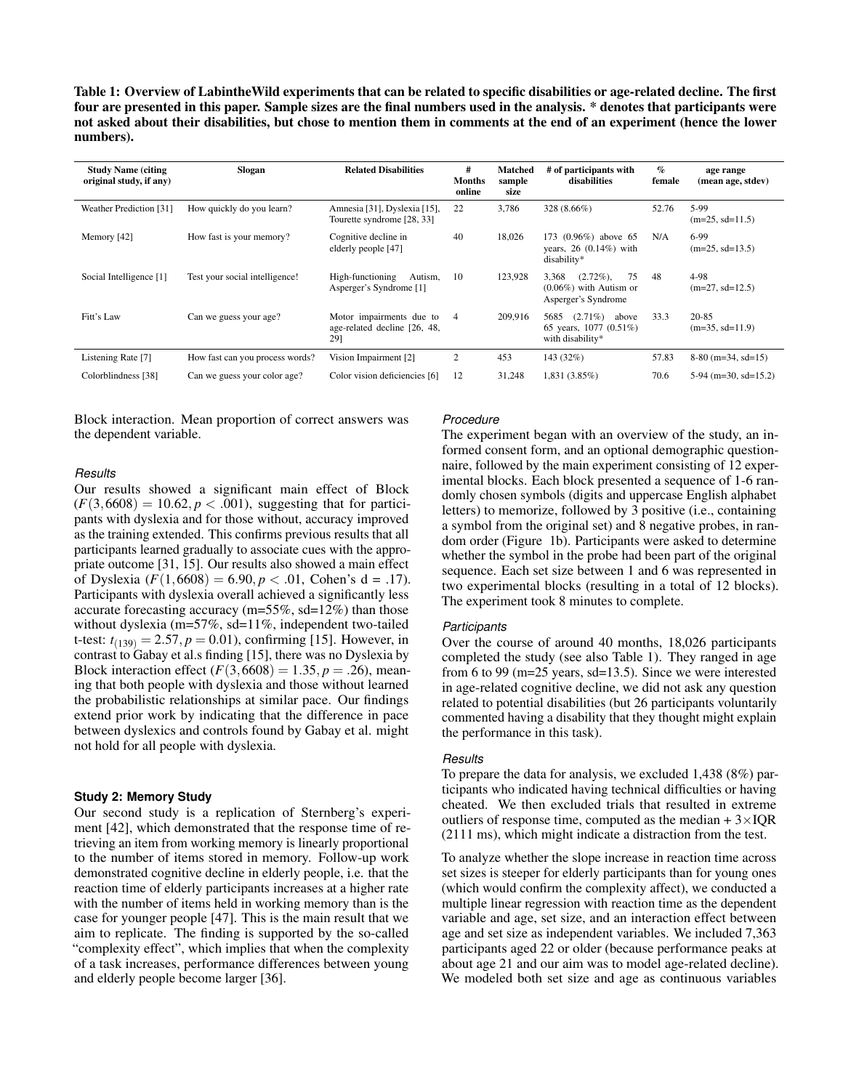<span id="page-3-0"></span>Table 1: Overview of LabintheWild experiments that can be related to specific disabilities or age-related decline. The first four are presented in this paper. Sample sizes are the final numbers used in the analysis. \* denotes that participants were not asked about their disabilities, but chose to mention them in comments at the end of an experiment (hence the lower numbers).

| <b>Study Name (citing)</b><br>original study, if any) | Slogan                          | <b>Related Disabilities</b>                                     | #<br><b>Months</b><br>online | Matched<br>sample<br>size | # of participants with<br>disabilities                                          | $\%$<br>female | age range<br>(mean age, stdev) |
|-------------------------------------------------------|---------------------------------|-----------------------------------------------------------------|------------------------------|---------------------------|---------------------------------------------------------------------------------|----------------|--------------------------------|
| Weather Prediction [31]                               | How quickly do you learn?       | Amnesia [31], Dyslexia [15],<br>Tourette syndrome [28, 33]      | 22                           | 3.786                     | 328 (8.66%)                                                                     | 52.76          | 5-99<br>$(m=25, sd=11.5)$      |
| Memory [42]                                           | How fast is your memory?        | Cognitive decline in<br>elderly people [47]                     | 40                           | 18,026                    | 173 (0.96%) above 65<br>years, $26(0.14%)$ with<br>disability*                  | N/A            | $6-99$<br>$(m=25, sd=13.5)$    |
| Social Intelligence [1]                               | Test your social intelligence!  | High-functioning<br>Autism.<br>Asperger's Syndrome [1]          | 10                           | 123,928                   | 75<br>$(2.72\%)$ ,<br>3.368<br>$(0.06\%)$ with Autism or<br>Asperger's Syndrome | 48             | 4-98<br>$(m=27, sd=12.5)$      |
| Fitt's Law                                            | Can we guess your age?          | Motor impairments due to<br>age-related decline [26, 48,<br>29] | 4                            | 209,916                   | $(2.71\%)$<br>5685<br>above<br>65 years, 1077 (0.51%)<br>with disability*       | 33.3           | $20 - 85$<br>$(m=35, sd=11.9)$ |
| Listening Rate [7]                                    | How fast can you process words? | Vision Impairment [2]                                           | 2                            | 453                       | 143 (32%)                                                                       | 57.83          | $8-80$ (m=34, sd=15)           |
| Colorblindness [38]                                   | Can we guess your color age?    | Color vision deficiencies [6]                                   | 12                           | 31,248                    | 1,831 (3.85%)                                                                   | 70.6           | $5-94$ (m=30, sd=15.2)         |

Block interaction. Mean proportion of correct answers was the dependent variable.

# *Results*

 $(F(3, 6608) = 10.62, p < .001)$ , suggesting that for particiof Dyslexia  $(F(1,6608) = 6.90, p < .01,$  Cohen's d = .17). t-test:  $t_{(139)} = 2.57, p = 0.01$ , confirming [\[15\]](#page-10-16). However, in Block interaction effect  $(F(3, 6608) = 1.35, p = .26)$ , mean-Our results showed a significant main effect of Block pants with dyslexia and for those without, accuracy improved as the training extended. This confirms previous results that all participants learned gradually to associate cues with the appropriate outcome [\[31,](#page-11-13) [15\]](#page-10-16). Our results also showed a main effect Participants with dyslexia overall achieved a significantly less accurate forecasting accuracy ( $m=55\%$ , sd=12%) than those without dyslexia (m=57%, sd=11%, independent two-tailed contrast to Gabay et al.s finding [\[15\]](#page-10-16), there was no Dyslexia by ing that both people with dyslexia and those without learned the probabilistic relationships at similar pace. Our findings extend prior work by indicating that the difference in pace between dyslexics and controls found by Gabay et al. might not hold for all people with dyslexia.

# **Study 2: Memory Study**

Our second study is a replication of Sternberg's experiment [\[42\]](#page-11-17), which demonstrated that the response time of retrieving an item from working memory is linearly proportional to the number of items stored in memory. Follow-up work demonstrated cognitive decline in elderly people, i.e. that the reaction time of elderly participants increases at a higher rate with the number of items held in working memory than is the case for younger people [\[47\]](#page-12-1). This is the main result that we aim to replicate. The finding is supported by the so-called "complexity effect", which implies that when the complexity of a task increases, performance differences between young and elderly people become larger [\[36\]](#page-11-20).

#### *Procedure*

The experiment began with an overview of the study, an informed consent form, and an optional demographic questionnaire, followed by the main experiment consisting of 12 experimental blocks. Each block presented a sequence of 1-6 randomly chosen symbols (digits and uppercase English alphabet letters) to memorize, followed by 3 positive (i.e., containing a symbol from the original set) and 8 negative probes, in random order (Figure [1b\)](#page-4-0). Participants were asked to determine whether the symbol in the probe had been part of the original sequence. Each set size between 1 and 6 was represented in two experimental blocks (resulting in a total of 12 blocks). The experiment took 8 minutes to complete.

#### *Participants*

Over the course of around 40 months, 18,026 participants completed the study (see also Table [1\)](#page-3-0). They ranged in age from 6 to 99 (m=25 years, sd=13.5). Since we were interested in age-related cognitive decline, we did not ask any question related to potential disabilities (but 26 participants voluntarily commented having a disability that they thought might explain the performance in this task).

#### *Results*

To prepare the data for analysis, we excluded 1,438 (8%) participants who indicated having technical difficulties or having cheated. We then excluded trials that resulted in extreme outliers of response time, computed as the median  $+3\times IQR$ (2111 ms), which might indicate a distraction from the test.

To analyze whether the slope increase in reaction time across set sizes is steeper for elderly participants than for young ones (which would confirm the complexity affect), we conducted a multiple linear regression with reaction time as the dependent variable and age, set size, and an interaction effect between age and set size as independent variables. We included 7,363 participants aged 22 or older (because performance peaks at about age 21 and our aim was to model age-related decline). We modeled both set size and age as continuous variables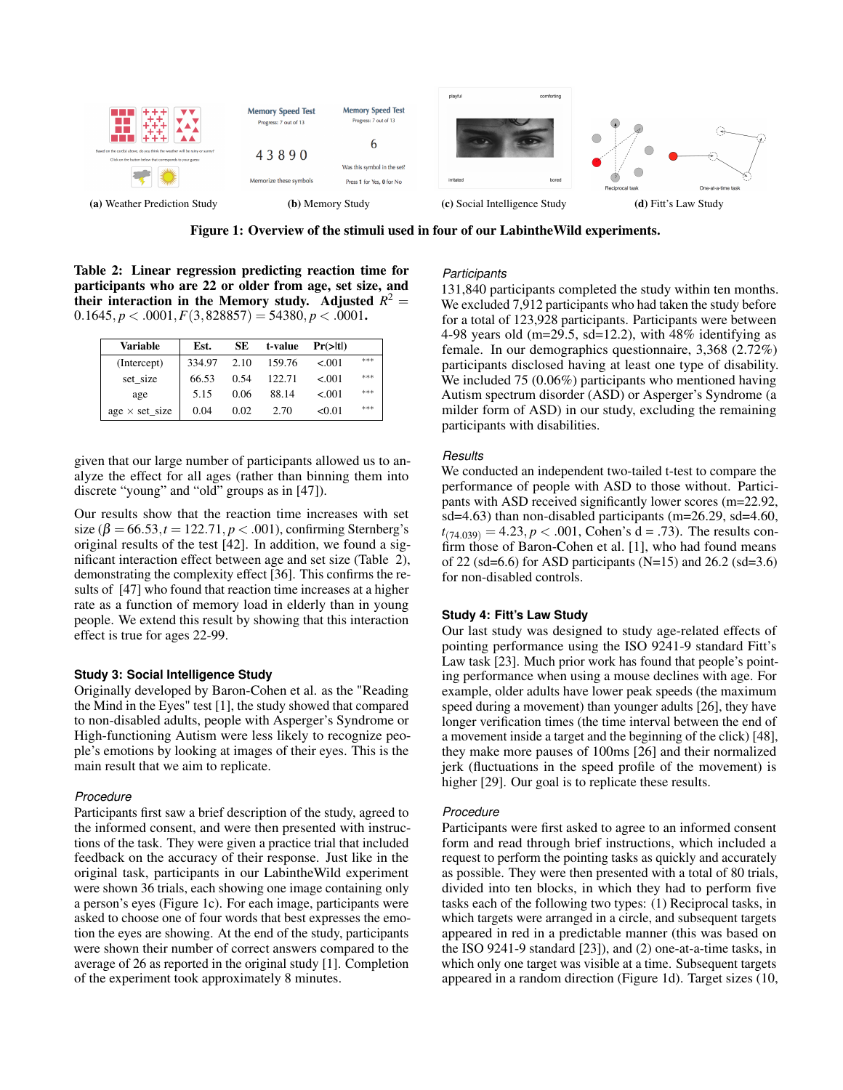<span id="page-4-0"></span>

Figure 1: Overview of the stimuli used in four of our LabintheWild experiments.

<span id="page-4-1"></span> $0.1645, p < .0001, F(3,828857) = 54380, p < .0001$ . Table 2: Linear regression predicting reaction time for participants who are 22 or older from age, set size, and their interaction in the Memory study. Adjusted  $R^2 =$ 

| Variable               | Est.   | SЕ   | t-value | $Pr(>\vert t \vert)$ |     |
|------------------------|--------|------|---------|----------------------|-----|
| (Intercept)            | 334.97 | 2.10 | 159.76  | < 0.01               | *** |
| set size               | 66.53  | 0.54 | 122.71  | < 0.01               | *** |
| age                    | 5.15   | 0.06 | 88.14   | < 0.01               | *** |
| $age \times set\_size$ | 0.04   | 0.02 | 2.70    | < 0.01               | *** |

given that our large number of participants allowed us to analyze the effect for all ages (rather than binning them into discrete "young" and "old" groups as in [\[47\]](#page-12-1)).

size  $(\beta = 66.53, t = 122.71, p < .001)$ , confirming Sternberg's Our results show that the reaction time increases with set original results of the test [\[42\]](#page-11-17). In addition, we found a significant interaction effect between age and set size (Table [2\)](#page-4-1), demonstrating the complexity effect [\[36\]](#page-11-20). This confirms the results of [\[47\]](#page-12-1) who found that reaction time increases at a higher rate as a function of memory load in elderly than in young people. We extend this result by showing that this interaction effect is true for ages 22-99.

#### **Study 3: Social Intelligence Study**

Originally developed by Baron-Cohen et al. as the "Reading the Mind in the Eyes" test [\[1\]](#page-10-17), the study showed that compared to non-disabled adults, people with Asperger's Syndrome or High-functioning Autism were less likely to recognize people's emotions by looking at images of their eyes. This is the main result that we aim to replicate.

#### *Procedure*

Participants first saw a brief description of the study, agreed to the informed consent, and were then presented with instructions of the task. They were given a practice trial that included feedback on the accuracy of their response. Just like in the original task, participants in our LabintheWild experiment were shown 36 trials, each showing one image containing only a person's eyes (Figure [1c\)](#page-4-0). For each image, participants were asked to choose one of four words that best expresses the emotion the eyes are showing. At the end of the study, participants were shown their number of correct answers compared to the average of 26 as reported in the original study [\[1\]](#page-10-17). Completion of the experiment took approximately 8 minutes.

#### *Participants*

131,840 participants completed the study within ten months. We excluded 7,912 participants who had taken the study before for a total of 123,928 participants. Participants were between 4-98 years old (m=29.5, sd=12.2), with  $48\%$  identifying as female. In our demographics questionnaire, 3,368 (2.72%) participants disclosed having at least one type of disability. We included 75 (0.06%) participants who mentioned having Autism spectrum disorder (ASD) or Asperger's Syndrome (a milder form of ASD) in our study, excluding the remaining participants with disabilities.

#### *Results*

We conducted an independent two-tailed t-test to compare the performance of people with ASD to those without. Participants with ASD received significantly lower scores (m=22.92, sd=4.63) than non-disabled participants (m=26.29, sd=4.60,  $t_{(74.039)} = 4.23, p < .001$ , Cohen's d = .73). The results confirm those of Baron-Cohen et al. [\[1\]](#page-10-17), who had found means of 22 (sd=6.6) for ASD participants (N=15) and 26.2 (sd=3.6) for non-disabled controls.

# **Study 4: Fitt's Law Study**

Our last study was designed to study age-related effects of pointing performance using the ISO 9241-9 standard Fitt's Law task [\[23\]](#page-11-21). Much prior work has found that people's pointing performance when using a mouse declines with age. For example, older adults have lower peak speeds (the maximum speed during a movement) than younger adults [\[26\]](#page-11-18), they have longer verification times (the time interval between the end of a movement inside a target and the beginning of the click) [\[48\]](#page-12-2), they make more pauses of 100ms [\[26\]](#page-11-18) and their normalized jerk (fluctuations in the speed profile of the movement) is higher [\[29\]](#page-11-19). Our goal is to replicate these results.

#### *Procedure*

Participants were first asked to agree to an informed consent form and read through brief instructions, which included a request to perform the pointing tasks as quickly and accurately as possible. They were then presented with a total of 80 trials, divided into ten blocks, in which they had to perform five tasks each of the following two types: (1) Reciprocal tasks, in which targets were arranged in a circle, and subsequent targets appeared in red in a predictable manner (this was based on the ISO 9241-9 standard [\[23\]](#page-11-21)), and (2) one-at-a-time tasks, in which only one target was visible at a time. Subsequent targets appeared in a random direction (Figure [1d\)](#page-4-0). Target sizes (10,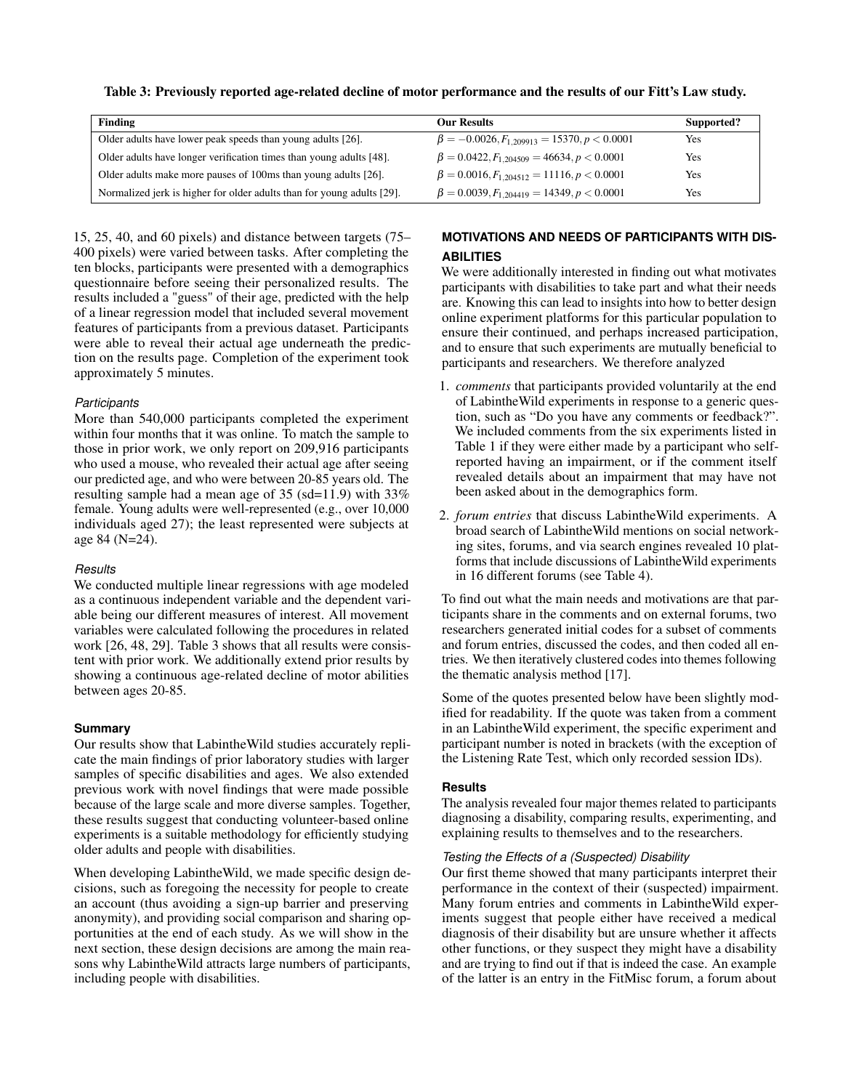<span id="page-5-0"></span>

|  | Table 3: Previously reported age-related decline of motor performance and the results of our Fitt's Law study. |
|--|----------------------------------------------------------------------------------------------------------------|
|  |                                                                                                                |

| Finding                                                                | <b>Our Results</b>                                  | Supported? |
|------------------------------------------------------------------------|-----------------------------------------------------|------------|
| Older adults have lower peak speeds than young adults [26].            | $\beta = -0.0026, F_{1,209913} = 15370, p < 0.0001$ | Yes        |
| Older adults have longer verification times than young adults [48].    | $\beta = 0.0422, F_{1.204509} = 46634, p < 0.0001$  | Yes        |
| Older adults make more pauses of 100ms than young adults [26].         | $\beta = 0.0016, F_{1,204512} = 11116, p < 0.0001$  | Yes        |
| Normalized jerk is higher for older adults than for young adults [29]. | $\beta = 0.0039, F_{1,204419} = 14349, p < 0.0001$  | Yes        |

15, 25, 40, and 60 pixels) and distance between targets (75– 400 pixels) were varied between tasks. After completing the ten blocks, participants were presented with a demographics questionnaire before seeing their personalized results. The results included a "guess" of their age, predicted with the help of a linear regression model that included several movement features of participants from a previous dataset. Participants were able to reveal their actual age underneath the prediction on the results page. Completion of the experiment took approximately 5 minutes.

# *Participants*

More than 540,000 participants completed the experiment within four months that it was online. To match the sample to those in prior work, we only report on 209,916 participants who used a mouse, who revealed their actual age after seeing our predicted age, and who were between 20-85 years old. The resulting sample had a mean age of 35 (sd=11.9) with 33% female. Young adults were well-represented (e.g., over 10,000 individuals aged 27); the least represented were subjects at age 84 (N=24).

# *Results*

We conducted multiple linear regressions with age modeled as a continuous independent variable and the dependent variable being our different measures of interest. All movement variables were calculated following the procedures in related work [\[26,](#page-11-18) [48,](#page-12-2) [29\]](#page-11-19). Table [3](#page-5-0) shows that all results were consistent with prior work. We additionally extend prior results by showing a continuous age-related decline of motor abilities between ages 20-85.

# **Summary**

Our results show that LabintheWild studies accurately replicate the main findings of prior laboratory studies with larger samples of specific disabilities and ages. We also extended previous work with novel findings that were made possible because of the large scale and more diverse samples. Together, these results suggest that conducting volunteer-based online experiments is a suitable methodology for efficiently studying older adults and people with disabilities.

When developing LabintheWild, we made specific design decisions, such as foregoing the necessity for people to create an account (thus avoiding a sign-up barrier and preserving anonymity), and providing social comparison and sharing opportunities at the end of each study. As we will show in the next section, these design decisions are among the main reasons why LabintheWild attracts large numbers of participants, including people with disabilities.

# **MOTIVATIONS AND NEEDS OF PARTICIPANTS WITH DIS-ABILITIES**

We were additionally interested in finding out what motivates participants with disabilities to take part and what their needs are. Knowing this can lead to insights into how to better design online experiment platforms for this particular population to ensure their continued, and perhaps increased participation, and to ensure that such experiments are mutually beneficial to participants and researchers. We therefore analyzed

- 1. *comments* that participants provided voluntarily at the end of LabintheWild experiments in response to a generic question, such as "Do you have any comments or feedback?". We included comments from the six experiments listed in Table [1](#page-3-0) if they were either made by a participant who selfreported having an impairment, or if the comment itself revealed details about an impairment that may have not been asked about in the demographics form.
- 2. *forum entries* that discuss LabintheWild experiments. A broad search of LabintheWild mentions on social networking sites, forums, and via search engines revealed 10 platforms that include discussions of LabintheWild experiments in 16 different forums (see Table [4\)](#page-6-0).

To find out what the main needs and motivations are that participants share in the comments and on external forums, two researchers generated initial codes for a subset of comments and forum entries, discussed the codes, and then coded all entries. We then iteratively clustered codes into themes following the thematic analysis method [\[17\]](#page-10-20).

Some of the quotes presented below have been slightly modified for readability. If the quote was taken from a comment in an LabintheWild experiment, the specific experiment and participant number is noted in brackets (with the exception of the Listening Rate Test, which only recorded session IDs).

# **Results**

The analysis revealed four major themes related to participants diagnosing a disability, comparing results, experimenting, and explaining results to themselves and to the researchers.

# *Testing the Effects of a (Suspected) Disability*

Our first theme showed that many participants interpret their performance in the context of their (suspected) impairment. Many forum entries and comments in LabintheWild experiments suggest that people either have received a medical diagnosis of their disability but are unsure whether it affects other functions, or they suspect they might have a disability and are trying to find out if that is indeed the case. An example of the latter is an entry in the FitMisc forum, a forum about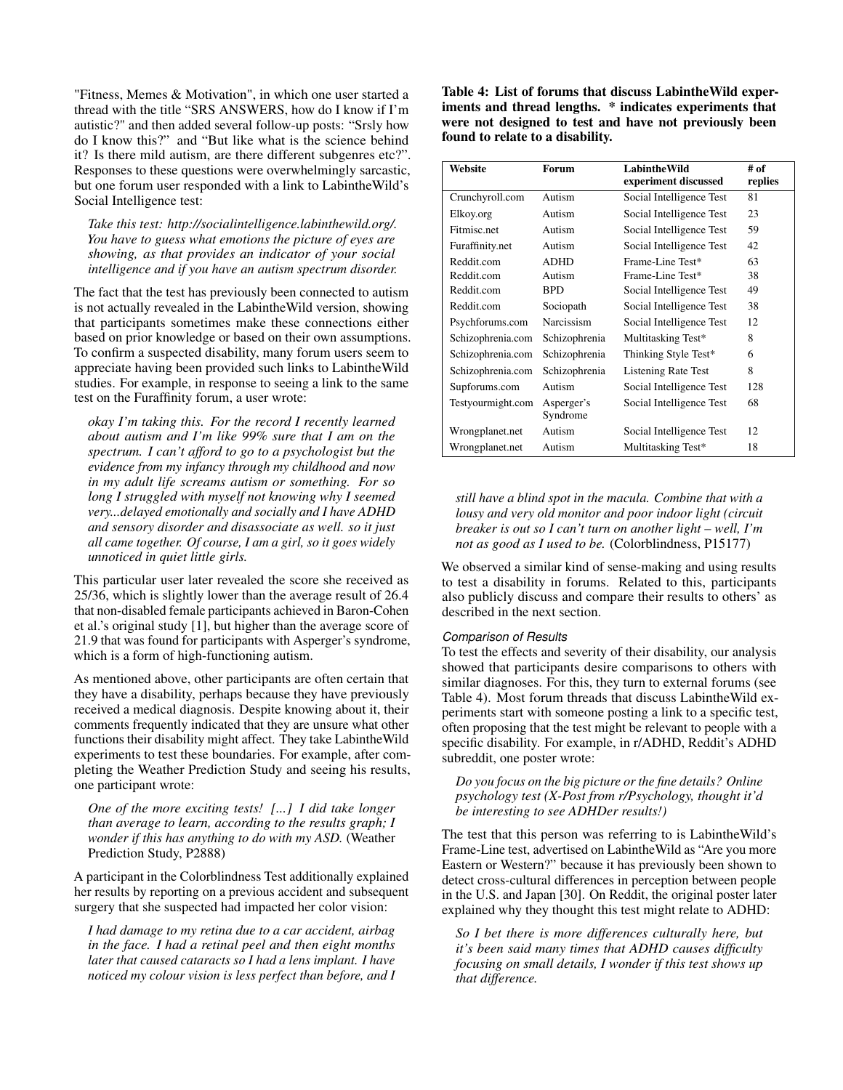"Fitness, Memes & Motivation", in which one user started a thread with the title "SRS ANSWERS, how do I know if I'm autistic?" and then added several follow-up posts: "Srsly how do I know this?" and "But like what is the science behind it? Is there mild autism, are there different subgenres etc?". Responses to these questions were overwhelmingly sarcastic, but one forum user responded with a link to LabintheWild's Social Intelligence test:

*Take this test: http://socialintelligence.labinthewild.org/. You have to guess what emotions the picture of eyes are showing, as that provides an indicator of your social intelligence and if you have an autism spectrum disorder.* 

The fact that the test has previously been connected to autism is not actually revealed in the LabintheWild version, showing that participants sometimes make these connections either based on prior knowledge or based on their own assumptions. To confirm a suspected disability, many forum users seem to appreciate having been provided such links to LabintheWild studies. For example, in response to seeing a link to the same test on the Furaffinity forum, a user wrote:

*okay I'm taking this. For the record I recently learned about autism and I'm like 99% sure that I am on the spectrum. I can't afford to go to a psychologist but the evidence from my infancy through my childhood and now in my adult life screams autism or something. For so long I struggled with myself not knowing why I seemed very...delayed emotionally and socially and I have ADHD and sensory disorder and disassociate as well. so it just all came together. Of course, I am a girl, so it goes widely unnoticed in quiet little girls.* 

This particular user later revealed the score she received as 25/36, which is slightly lower than the average result of 26.4 that non-disabled female participants achieved in Baron-Cohen et al.'s original study [\[1\]](#page-10-17), but higher than the average score of 21.9 that was found for participants with Asperger's syndrome, which is a form of high-functioning autism.

As mentioned above, other participants are often certain that they have a disability, perhaps because they have previously received a medical diagnosis. Despite knowing about it, their comments frequently indicated that they are unsure what other functions their disability might affect. They take LabintheWild experiments to test these boundaries. For example, after completing the Weather Prediction Study and seeing his results, one participant wrote:

*One of the more exciting tests! [...] I did take longer than average to learn, according to the results graph; I wonder if this has anything to do with my ASD.* (Weather Prediction Study, P2888)

A participant in the Colorblindness Test additionally explained her results by reporting on a previous accident and subsequent surgery that she suspected had impacted her color vision:

*I had damage to my retina due to a car accident, airbag in the face. I had a retinal peel and then eight months later that caused cataracts so I had a lens implant. I have noticed my colour vision is less perfect than before, and I*  <span id="page-6-0"></span>Table 4: List of forums that discuss LabintheWild experiments and thread lengths. \* indicates experiments that were not designed to test and have not previously been found to relate to a disability.

| Website           | Forum                  | <b>LabintheWild</b>        | # of    |
|-------------------|------------------------|----------------------------|---------|
|                   |                        | experiment discussed       | replies |
| Crunchyroll.com   | Autism                 | Social Intelligence Test   | 81      |
| Elkoy.org         | Autism                 | Social Intelligence Test   | 23      |
| Fitmisc.net       | Autism                 | Social Intelligence Test   | 59      |
| Furaffinity.net   | Autism                 | Social Intelligence Test   | 42      |
| Reddit.com        | <b>ADHD</b>            | Frame-Line Test*           | 63      |
| Reddit.com        | Autism                 | Frame-Line Test*           | 38      |
| Reddit.com        | <b>BPD</b>             | Social Intelligence Test   | 49      |
| Reddit.com        | Sociopath              | Social Intelligence Test   | 38      |
| Psychforums.com   | Narcissism             | Social Intelligence Test   | 12      |
| Schizophrenia.com | Schizophrenia          | Multitasking Test*         | 8       |
| Schizophrenia.com | Schizophrenia          | Thinking Style Test*       | 6       |
| Schizophrenia.com | Schizophrenia          | <b>Listening Rate Test</b> | 8       |
| Supforums.com     | Autism                 | Social Intelligence Test   | 128     |
| Testyourmight.com | Asperger's<br>Syndrome | Social Intelligence Test   | 68      |
| Wrongplanet.net   | Autism                 | Social Intelligence Test   | 12      |
| Wrongplanet.net   | Autism                 | Multitasking Test*         | 18      |

*still have a blind spot in the macula. Combine that with a lousy and very old monitor and poor indoor light (circuit breaker is out so I can't turn on another light – well, I'm not as good as I used to be.* (Colorblindness, P15177)

We observed a similar kind of sense-making and using results to test a disability in forums. Related to this, participants also publicly discuss and compare their results to others' as described in the next section.

#### *Comparison of Results*

To test the effects and severity of their disability, our analysis showed that participants desire comparisons to others with similar diagnoses. For this, they turn to external forums (see Table [4\)](#page-6-0). Most forum threads that discuss LabintheWild experiments start with someone posting a link to a specific test, often proposing that the test might be relevant to people with a specific disability. For example, in r/ADHD, Reddit's ADHD subreddit, one poster wrote:

*Do you focus on the big picture or the fine details? Online psychology test (X-Post from r/Psychology, thought it'd be interesting to see ADHDer results!)* 

The test that this person was referring to is LabintheWild's Frame-Line test, advertised on LabintheWild as "Are you more Eastern or Western?" because it has previously been shown to detect cross-cultural differences in perception between people in the U.S. and Japan [\[30\]](#page-11-22). On Reddit, the original poster later explained why they thought this test might relate to ADHD:

*So I bet there is more differences culturally here, but it's been said many times that ADHD causes difficulty focusing on small details, I wonder if this test shows up that difference.*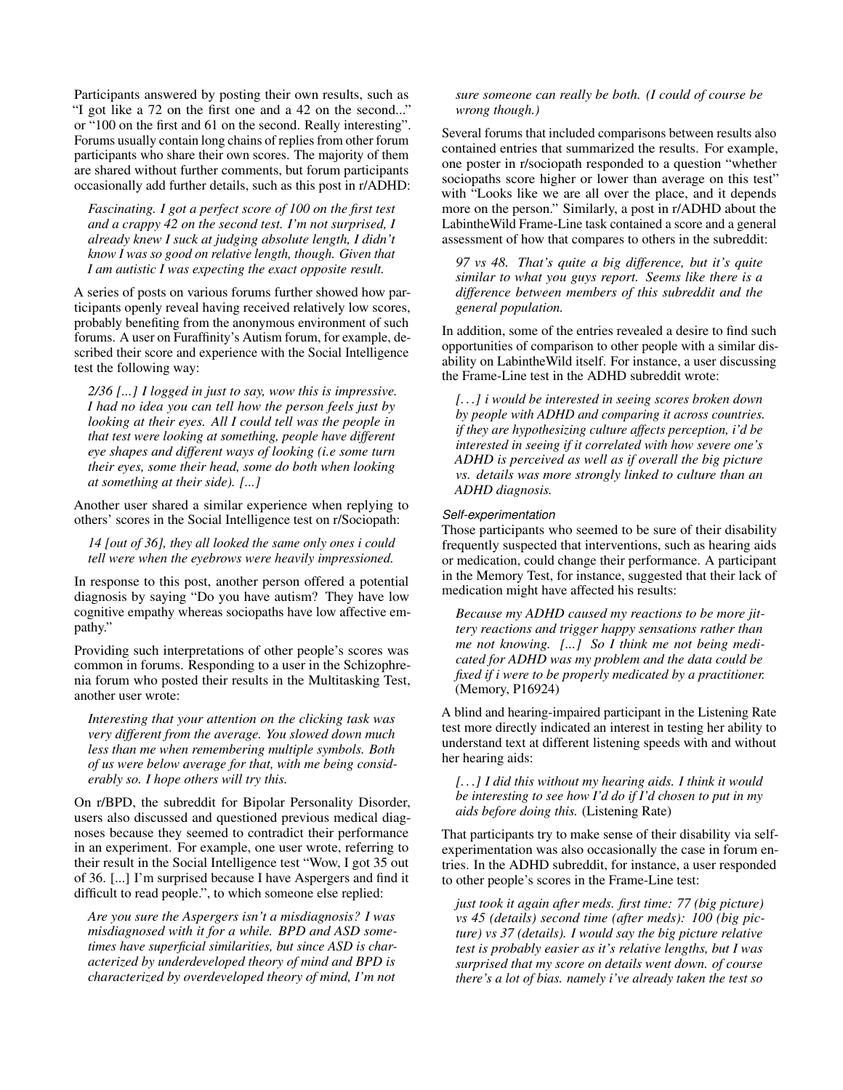Participants answered by posting their own results, such as "I got like a 72 on the first one and a 42 on the second..." or "100 on the first and 61 on the second. Really interesting". Forums usually contain long chains of replies from other forum participants who share their own scores. The majority of them are shared without further comments, but forum participants occasionally add further details, such as this post in r/ADHD:

*Fascinating. I got a perfect score of 100 on the first test and a crappy 42 on the second test. I'm not surprised, I already knew I suck at judging absolute length, I didn't know I was so good on relative length, though. Given that I am autistic I was expecting the exact opposite result.* 

A series of posts on various forums further showed how participants openly reveal having received relatively low scores, probably benefiting from the anonymous environment of such forums. A user on Furaffinity's Autism forum, for example, described their score and experience with the Social Intelligence test the following way:

*2/36 [...] I logged in just to say, wow this is impressive. I had no idea you can tell how the person feels just by looking at their eyes. All I could tell was the people in that test were looking at something, people have different eye shapes and different ways of looking (i.e some turn their eyes, some their head, some do both when looking at something at their side). [...]* 

Another user shared a similar experience when replying to others' scores in the Social Intelligence test on r/Sociopath:

*14 [out of 36], they all looked the same only ones i could tell were when the eyebrows were heavily impressioned.* 

In response to this post, another person offered a potential diagnosis by saying "Do you have autism? They have low cognitive empathy whereas sociopaths have low affective empathy."

Providing such interpretations of other people's scores was common in forums. Responding to a user in the Schizophrenia forum who posted their results in the Multitasking Test, another user wrote:

*Interesting that your attention on the clicking task was very different from the average. You slowed down much less than me when remembering multiple symbols. Both of us were below average for that, with me being considerably so. I hope others will try this.* 

On r/BPD, the subreddit for Bipolar Personality Disorder, users also discussed and questioned previous medical diagnoses because they seemed to contradict their performance in an experiment. For example, one user wrote, referring to their result in the Social Intelligence test "Wow, I got 35 out of 36. [...] I'm surprised because I have Aspergers and find it difficult to read people.", to which someone else replied:

*Are you sure the Aspergers isn't a misdiagnosis? I was misdiagnosed with it for a while. BPD and ASD sometimes have superficial similarities, but since ASD is characterized by underdeveloped theory of mind and BPD is characterized by overdeveloped theory of mind, I'm not* 

# *sure someone can really be both. (I could of course be wrong though.)*

Several forums that included comparisons between results also contained entries that summarized the results. For example, one poster in r/sociopath responded to a question "whether sociopaths score higher or lower than average on this test" with "Looks like we are all over the place, and it depends more on the person." Similarly, a post in r/ADHD about the LabintheWild Frame-Line task contained a score and a general assessment of how that compares to others in the subreddit:

*97 vs 48. That's quite a big difference, but it's quite similar to what you guys report. Seems like there is a difference between members of this subreddit and the general population.* 

In addition, some of the entries revealed a desire to find such opportunities of comparison to other people with a similar disability on LabintheWild itself. For instance, a user discussing the Frame-Line test in the ADHD subreddit wrote:

*[. . .] i would be interested in seeing scores broken down by people with ADHD and comparing it across countries. if they are hypothesizing culture affects perception, i'd be interested in seeing if it correlated with how severe one's ADHD is perceived as well as if overall the big picture vs. details was more strongly linked to culture than an ADHD diagnosis.* 

#### *Self-experimentation*

Those participants who seemed to be sure of their disability frequently suspected that interventions, such as hearing aids or medication, could change their performance. A participant in the Memory Test, for instance, suggested that their lack of medication might have affected his results:

*Because my ADHD caused my reactions to be more jittery reactions and trigger happy sensations rather than me not knowing. [...] So I think me not being medicated for ADHD was my problem and the data could be fixed if i were to be properly medicated by a practitioner.*  (Memory, P16924)

A blind and hearing-impaired participant in the Listening Rate test more directly indicated an interest in testing her ability to understand text at different listening speeds with and without her hearing aids:

*[. . .] I did this without my hearing aids. I think it would be interesting to see how I'd do if I'd chosen to put in my aids before doing this.* (Listening Rate)

That participants try to make sense of their disability via selfexperimentation was also occasionally the case in forum entries. In the ADHD subreddit, for instance, a user responded to other people's scores in the Frame-Line test:

*just took it again after meds. first time: 77 (big picture) vs 45 (details) second time (after meds): 100 (big picture) vs 37 (details). I would say the big picture relative test is probably easier as it's relative lengths, but I was surprised that my score on details went down. of course there's a lot of bias. namely i've already taken the test so*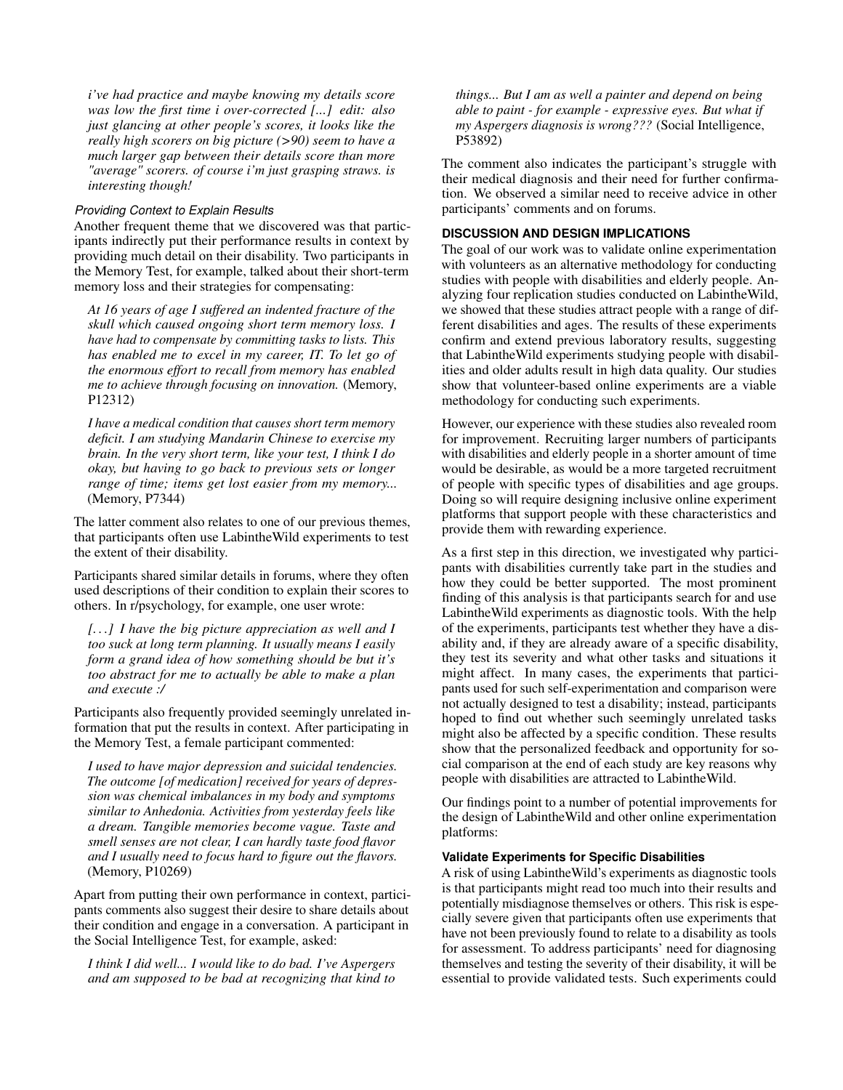*i've had practice and maybe knowing my details score was low the first time i over-corrected [...] edit: also just glancing at other people's scores, it looks like the really high scorers on big picture (>90) seem to have a much larger gap between their details score than more "average" scorers. of course i'm just grasping straws. is interesting though!* 

#### *Providing Context to Explain Results*

Another frequent theme that we discovered was that participants indirectly put their performance results in context by providing much detail on their disability. Two participants in the Memory Test, for example, talked about their short-term memory loss and their strategies for compensating:

*At 16 years of age I suffered an indented fracture of the skull which caused ongoing short term memory loss. I have had to compensate by committing tasks to lists. This has enabled me to excel in my career, IT. To let go of the enormous effort to recall from memory has enabled me to achieve through focusing on innovation.* (Memory, P12312)

*I have a medical condition that causes short term memory deficit. I am studying Mandarin Chinese to exercise my brain. In the very short term, like your test, I think I do okay, but having to go back to previous sets or longer range of time; items get lost easier from my memory...*  (Memory, P7344)

The latter comment also relates to one of our previous themes, that participants often use LabintheWild experiments to test the extent of their disability.

Participants shared similar details in forums, where they often used descriptions of their condition to explain their scores to others. In r/psychology, for example, one user wrote:

*[. . .] I have the big picture appreciation as well and I too suck at long term planning. It usually means I easily form a grand idea of how something should be but it's too abstract for me to actually be able to make a plan and execute :/* 

Participants also frequently provided seemingly unrelated information that put the results in context. After participating in the Memory Test, a female participant commented:

*I used to have major depression and suicidal tendencies. The outcome [of medication] received for years of depression was chemical imbalances in my body and symptoms similar to Anhedonia. Activities from yesterday feels like a dream. Tangible memories become vague. Taste and smell senses are not clear, I can hardly taste food flavor and I usually need to focus hard to figure out the flavors.*  (Memory, P10269)

Apart from putting their own performance in context, participants comments also suggest their desire to share details about their condition and engage in a conversation. A participant in the Social Intelligence Test, for example, asked:

*I think I did well... I would like to do bad. I've Aspergers and am supposed to be bad at recognizing that kind to*  *things... But I am as well a painter and depend on being able to paint - for example - expressive eyes. But what if my Aspergers diagnosis is wrong???* (Social Intelligence, P53892)

The comment also indicates the participant's struggle with their medical diagnosis and their need for further confirmation. We observed a similar need to receive advice in other participants' comments and on forums.

# **DISCUSSION AND DESIGN IMPLICATIONS**

The goal of our work was to validate online experimentation with volunteers as an alternative methodology for conducting studies with people with disabilities and elderly people. Analyzing four replication studies conducted on LabintheWild, we showed that these studies attract people with a range of different disabilities and ages. The results of these experiments confirm and extend previous laboratory results, suggesting that LabintheWild experiments studying people with disabilities and older adults result in high data quality. Our studies show that volunteer-based online experiments are a viable methodology for conducting such experiments.

However, our experience with these studies also revealed room for improvement. Recruiting larger numbers of participants with disabilities and elderly people in a shorter amount of time would be desirable, as would be a more targeted recruitment of people with specific types of disabilities and age groups. Doing so will require designing inclusive online experiment platforms that support people with these characteristics and provide them with rewarding experience.

As a first step in this direction, we investigated why participants with disabilities currently take part in the studies and how they could be better supported. The most prominent finding of this analysis is that participants search for and use LabintheWild experiments as diagnostic tools. With the help of the experiments, participants test whether they have a disability and, if they are already aware of a specific disability, they test its severity and what other tasks and situations it might affect. In many cases, the experiments that participants used for such self-experimentation and comparison were not actually designed to test a disability; instead, participants hoped to find out whether such seemingly unrelated tasks might also be affected by a specific condition. These results show that the personalized feedback and opportunity for social comparison at the end of each study are key reasons why people with disabilities are attracted to LabintheWild.

Our findings point to a number of potential improvements for the design of LabintheWild and other online experimentation platforms:

# **Validate Experiments for Specific Disabilities**

A risk of using LabintheWild's experiments as diagnostic tools is that participants might read too much into their results and potentially misdiagnose themselves or others. This risk is especially severe given that participants often use experiments that have not been previously found to relate to a disability as tools for assessment. To address participants' need for diagnosing themselves and testing the severity of their disability, it will be essential to provide validated tests. Such experiments could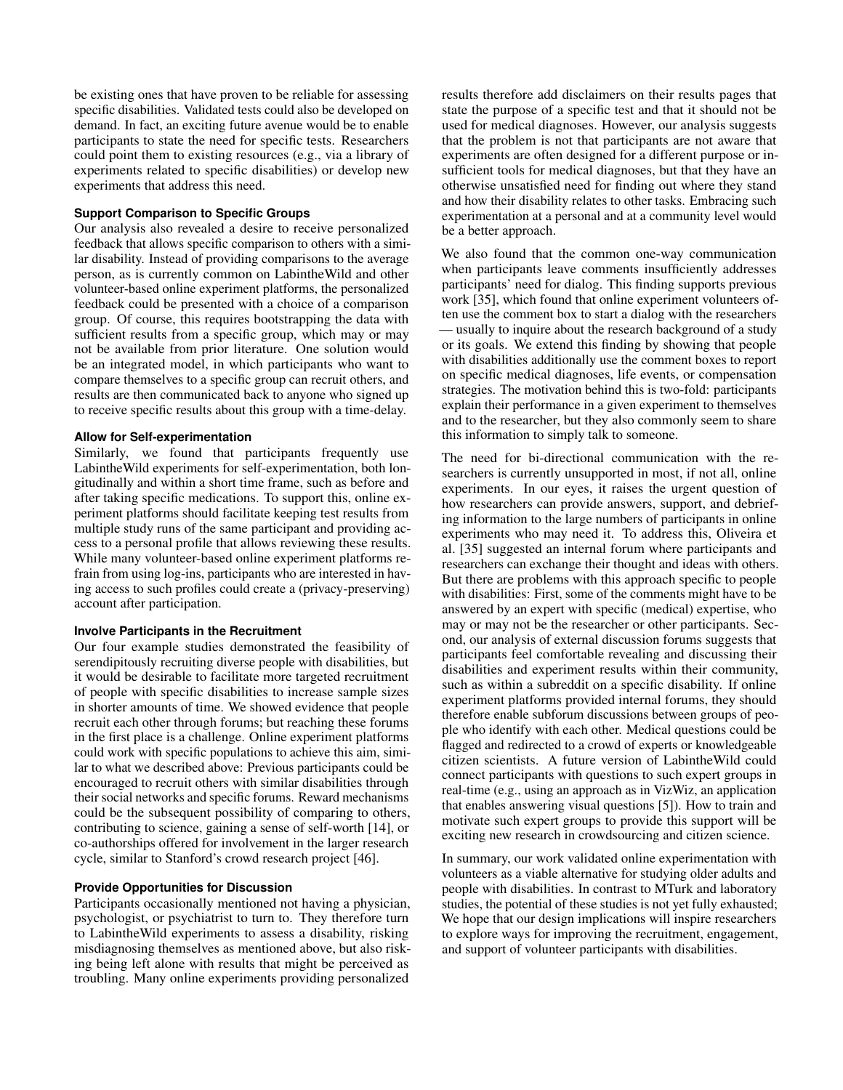be existing ones that have proven to be reliable for assessing specific disabilities. Validated tests could also be developed on demand. In fact, an exciting future avenue would be to enable participants to state the need for specific tests. Researchers could point them to existing resources (e.g., via a library of experiments related to specific disabilities) or develop new experiments that address this need.

# **Support Comparison to Specific Groups**

Our analysis also revealed a desire to receive personalized feedback that allows specific comparison to others with a similar disability. Instead of providing comparisons to the average person, as is currently common on LabintheWild and other volunteer-based online experiment platforms, the personalized feedback could be presented with a choice of a comparison group. Of course, this requires bootstrapping the data with sufficient results from a specific group, which may or may not be available from prior literature. One solution would be an integrated model, in which participants who want to compare themselves to a specific group can recruit others, and results are then communicated back to anyone who signed up to receive specific results about this group with a time-delay.

#### **Allow for Self-experimentation**

Similarly, we found that participants frequently use LabintheWild experiments for self-experimentation, both longitudinally and within a short time frame, such as before and after taking specific medications. To support this, online experiment platforms should facilitate keeping test results from multiple study runs of the same participant and providing access to a personal profile that allows reviewing these results. While many volunteer-based online experiment platforms refrain from using log-ins, participants who are interested in having access to such profiles could create a (privacy-preserving) account after participation.

#### **Involve Participants in the Recruitment**

Our four example studies demonstrated the feasibility of serendipitously recruiting diverse people with disabilities, but it would be desirable to facilitate more targeted recruitment of people with specific disabilities to increase sample sizes in shorter amounts of time. We showed evidence that people recruit each other through forums; but reaching these forums in the first place is a challenge. Online experiment platforms could work with specific populations to achieve this aim, similar to what we described above: Previous participants could be encouraged to recruit others with similar disabilities through their social networks and specific forums. Reward mechanisms could be the subsequent possibility of comparing to others, contributing to science, gaining a sense of self-worth [\[14\]](#page-10-4), or co-authorships offered for involvement in the larger research cycle, similar to Stanford's crowd research project [\[46\]](#page-11-23).

# **Provide Opportunities for Discussion**

Participants occasionally mentioned not having a physician, psychologist, or psychiatrist to turn to. They therefore turn to LabintheWild experiments to assess a disability, risking misdiagnosing themselves as mentioned above, but also risking being left alone with results that might be perceived as troubling. Many online experiments providing personalized

results therefore add disclaimers on their results pages that state the purpose of a specific test and that it should not be used for medical diagnoses. However, our analysis suggests that the problem is not that participants are not aware that experiments are often designed for a different purpose or insufficient tools for medical diagnoses, but that they have an otherwise unsatisfied need for finding out where they stand and how their disability relates to other tasks. Embracing such experimentation at a personal and at a community level would be a better approach.

We also found that the common one-way communication when participants leave comments insufficiently addresses participants' need for dialog. This finding supports previous work [\[35\]](#page-11-10), which found that online experiment volunteers often use the comment box to start a dialog with the researchers — usually to inquire about the research background of a study or its goals. We extend this finding by showing that people with disabilities additionally use the comment boxes to report on specific medical diagnoses, life events, or compensation strategies. The motivation behind this is two-fold: participants explain their performance in a given experiment to themselves and to the researcher, but they also commonly seem to share this information to simply talk to someone.

The need for bi-directional communication with the researchers is currently unsupported in most, if not all, online experiments. In our eyes, it raises the urgent question of how researchers can provide answers, support, and debriefing information to the large numbers of participants in online experiments who may need it. To address this, Oliveira et al. [\[35\]](#page-11-10) suggested an internal forum where participants and researchers can exchange their thought and ideas with others. But there are problems with this approach specific to people with disabilities: First, some of the comments might have to be answered by an expert with specific (medical) expertise, who may or may not be the researcher or other participants. Second, our analysis of external discussion forums suggests that participants feel comfortable revealing and discussing their disabilities and experiment results within their community, such as within a subreddit on a specific disability. If online experiment platforms provided internal forums, they should therefore enable subforum discussions between groups of people who identify with each other. Medical questions could be flagged and redirected to a crowd of experts or knowledgeable citizen scientists. A future version of LabintheWild could connect participants with questions to such expert groups in real-time (e.g., using an approach as in VizWiz, an application that enables answering visual questions [\[5\]](#page-10-21)). How to train and motivate such expert groups to provide this support will be exciting new research in crowdsourcing and citizen science.

In summary, our work validated online experimentation with volunteers as a viable alternative for studying older adults and people with disabilities. In contrast to MTurk and laboratory studies, the potential of these studies is not yet fully exhausted; We hope that our design implications will inspire researchers to explore ways for improving the recruitment, engagement, and support of volunteer participants with disabilities.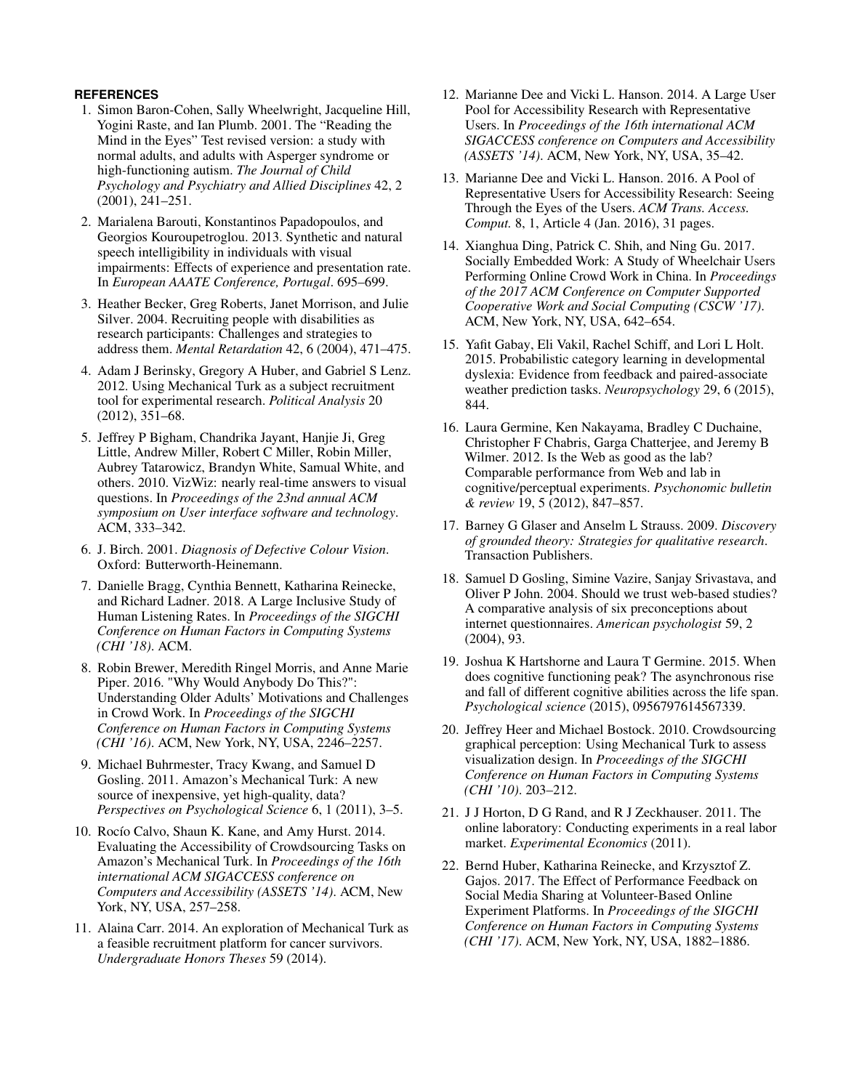# <span id="page-10-17"></span>**REFERENCES**

- 1. Simon Baron-Cohen, Sally Wheelwright, Jacqueline Hill, Yogini Raste, and Ian Plumb. 2001. The "Reading the Mind in the Eyes" Test revised version: a study with normal adults, and adults with Asperger syndrome or high-functioning autism. *The Journal of Child Psychology and Psychiatry and Allied Disciplines* 42, 2 (2001), 241–251.
- <span id="page-10-18"></span>2. Marialena Barouti, Konstantinos Papadopoulos, and Georgios Kouroupetroglou. 2013. Synthetic and natural speech intelligibility in individuals with visual impairments: Effects of experience and presentation rate. In *European AAATE Conference, Portugal*. 695–699.
- <span id="page-10-1"></span>3. Heather Becker, Greg Roberts, Janet Morrison, and Julie Silver. 2004. Recruiting people with disabilities as research participants: Challenges and strategies to address them. *Mental Retardation* 42, 6 (2004), 471–475.
- <span id="page-10-7"></span>4. Adam J Berinsky, Gregory A Huber, and Gabriel S Lenz. 2012. Using Mechanical Turk as a subject recruitment tool for experimental research. *Political Analysis* 20 (2012), 351–68.
- <span id="page-10-21"></span>5. Jeffrey P Bigham, Chandrika Jayant, Hanjie Ji, Greg Little, Andrew Miller, Robert C Miller, Robin Miller, Aubrey Tatarowicz, Brandyn White, Samual White, and others. 2010. VizWiz: nearly real-time answers to visual questions. In *Proceedings of the 23nd annual ACM symposium on User interface software and technology*. ACM, 333–342.
- <span id="page-10-19"></span>6. J. Birch. 2001. *Diagnosis of Defective Colour Vision*. Oxford: Butterworth-Heinemann.
- <span id="page-10-15"></span>7. Danielle Bragg, Cynthia Bennett, Katharina Reinecke, and Richard Ladner. 2018. A Large Inclusive Study of Human Listening Rates. In *Proceedings of the SIGCHI Conference on Human Factors in Computing Systems (CHI '18)*. ACM.
- <span id="page-10-3"></span>8. Robin Brewer, Meredith Ringel Morris, and Anne Marie Piper. 2016. "Why Would Anybody Do This?": Understanding Older Adults' Motivations and Challenges in Crowd Work. In *Proceedings of the SIGCHI Conference on Human Factors in Computing Systems (CHI '16)*. ACM, New York, NY, USA, 2246–2257.
- <span id="page-10-9"></span>9. Michael Buhrmester, Tracy Kwang, and Samuel D Gosling. 2011. Amazon's Mechanical Turk: A new source of inexpensive, yet high-quality, data? *Perspectives on Psychological Science* 6, 1 (2011), 3–5.
- <span id="page-10-5"></span>10. Rocío Calvo, Shaun K. Kane, and Amy Hurst. 2014. Evaluating the Accessibility of Crowdsourcing Tasks on Amazon's Mechanical Turk. In *Proceedings of the 16th international ACM SIGACCESS conference on Computers and Accessibility (ASSETS '14)*. ACM, New York, NY, USA, 257–258.
- <span id="page-10-2"></span>11. Alaina Carr. 2014. An exploration of Mechanical Turk as a feasible recruitment platform for cancer survivors. *Undergraduate Honors Theses* 59 (2014).
- <span id="page-10-0"></span>12. Marianne Dee and Vicki L. Hanson. 2014. A Large User Pool for Accessibility Research with Representative Users. In *Proceedings of the 16th international ACM SIGACCESS conference on Computers and Accessibility (ASSETS '14)*. ACM, New York, NY, USA, 35–42.
- <span id="page-10-6"></span>13. Marianne Dee and Vicki L. Hanson. 2016. A Pool of Representative Users for Accessibility Research: Seeing Through the Eyes of the Users. *ACM Trans. Access. Comput.* 8, 1, Article 4 (Jan. 2016), 31 pages.
- <span id="page-10-4"></span>14. Xianghua Ding, Patrick C. Shih, and Ning Gu. 2017. Socially Embedded Work: A Study of Wheelchair Users Performing Online Crowd Work in China. In *Proceedings of the 2017 ACM Conference on Computer Supported Cooperative Work and Social Computing (CSCW '17)*. ACM, New York, NY, USA, 642–654.
- <span id="page-10-16"></span>15. Yafit Gabay, Eli Vakil, Rachel Schiff, and Lori L Holt. 2015. Probabilistic category learning in developmental dyslexia: Evidence from feedback and paired-associate weather prediction tasks. *Neuropsychology* 29, 6 (2015), 844.
- <span id="page-10-11"></span>16. Laura Germine, Ken Nakayama, Bradley C Duchaine, Christopher F Chabris, Garga Chatterjee, and Jeremy B Wilmer. 2012. Is the Web as good as the lab? Comparable performance from Web and lab in cognitive/perceptual experiments. *Psychonomic bulletin & review* 19, 5 (2012), 847–857.
- <span id="page-10-20"></span>17. Barney G Glaser and Anselm L Strauss. 2009. *Discovery of grounded theory: Strategies for qualitative research*. Transaction Publishers.
- <span id="page-10-10"></span>18. Samuel D Gosling, Simine Vazire, Sanjay Srivastava, and Oliver P John. 2004. Should we trust web-based studies? A comparative analysis of six preconceptions about internet questionnaires. *American psychologist* 59, 2 (2004), 93.
- <span id="page-10-14"></span>19. Joshua K Hartshorne and Laura T Germine. 2015. When does cognitive functioning peak? The asynchronous rise and fall of different cognitive abilities across the life span. *Psychological science* (2015), 0956797614567339.
- <span id="page-10-12"></span>20. Jeffrey Heer and Michael Bostock. 2010. Crowdsourcing graphical perception: Using Mechanical Turk to assess visualization design. In *Proceedings of the SIGCHI Conference on Human Factors in Computing Systems (CHI '10)*. 203–212.
- <span id="page-10-8"></span>21. J J Horton, D G Rand, and R J Zeckhauser. 2011. The online laboratory: Conducting experiments in a real labor market. *Experimental Economics* (2011).
- <span id="page-10-13"></span>22. Bernd Huber, Katharina Reinecke, and Krzysztof Z. Gajos. 2017. The Effect of Performance Feedback on Social Media Sharing at Volunteer-Based Online Experiment Platforms. In *Proceedings of the SIGCHI Conference on Human Factors in Computing Systems (CHI '17)*. ACM, New York, NY, USA, 1882–1886.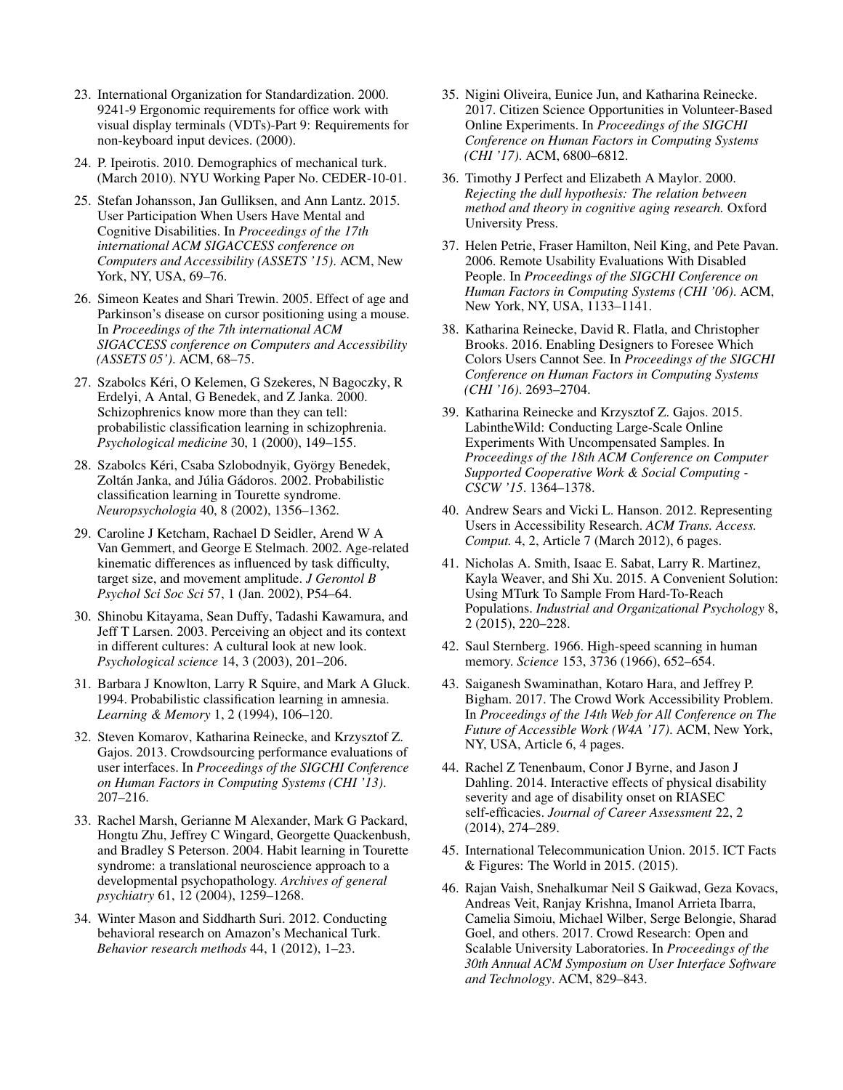- <span id="page-11-21"></span>23. International Organization for Standardization. 2000. 9241-9 Ergonomic requirements for office work with visual display terminals (VDTs)-Part 9: Requirements for non-keyboard input devices. (2000).
- <span id="page-11-7"></span>24. P. Ipeirotis. 2010. Demographics of mechanical turk. (March 2010). NYU Working Paper No. CEDER-10-01.
- <span id="page-11-6"></span>25. Stefan Johansson, Jan Gulliksen, and Ann Lantz. 2015. User Participation When Users Have Mental and Cognitive Disabilities. In *Proceedings of the 17th international ACM SIGACCESS conference on Computers and Accessibility (ASSETS '15)*. ACM, New York, NY, USA, 69–76.
- <span id="page-11-18"></span>26. Simeon Keates and Shari Trewin. 2005. Effect of age and Parkinson's disease on cursor positioning using a mouse. In *Proceedings of the 7th international ACM SIGACCESS conference on Computers and Accessibility (ASSETS 05')*. ACM, 68–75.
- <span id="page-11-16"></span>27. Szabolcs Kéri, O Kelemen, G Szekeres, N Bagoczky, R Erdelyi, A Antal, G Benedek, and Z Janka. 2000. Schizophrenics know more than they can tell: probabilistic classification learning in schizophrenia. *Psychological medicine* 30, 1 (2000), 149–155.
- <span id="page-11-14"></span>28. Szabolcs Kéri, Csaba Szlobodnyik, György Benedek, Zoltán Janka, and Júlia Gádoros. 2002. Probabilistic classification learning in Tourette syndrome. *Neuropsychologia* 40, 8 (2002), 1356–1362.
- <span id="page-11-19"></span>29. Caroline J Ketcham, Rachael D Seidler, Arend W A Van Gemmert, and George E Stelmach. 2002. Age-related kinematic differences as influenced by task difficulty, target size, and movement amplitude. *J Gerontol B Psychol Sci Soc Sci* 57, 1 (Jan. 2002), P54–64.
- <span id="page-11-22"></span>30. Shinobu Kitayama, Sean Duffy, Tadashi Kawamura, and Jeff T Larsen. 2003. Perceiving an object and its context in different cultures: A cultural look at new look. *Psychological science* 14, 3 (2003), 201–206.
- <span id="page-11-13"></span>31. Barbara J Knowlton, Larry R Squire, and Mark A Gluck. 1994. Probabilistic classification learning in amnesia. *Learning & Memory* 1, 2 (1994), 106–120.
- <span id="page-11-9"></span>32. Steven Komarov, Katharina Reinecke, and Krzysztof Z. Gajos. 2013. Crowdsourcing performance evaluations of user interfaces. In *Proceedings of the SIGCHI Conference on Human Factors in Computing Systems (CHI '13)*. 207–216.
- <span id="page-11-15"></span>33. Rachel Marsh, Gerianne M Alexander, Mark G Packard, Hongtu Zhu, Jeffrey C Wingard, Georgette Quackenbush, and Bradley S Peterson. 2004. Habit learning in Tourette syndrome: a translational neuroscience approach to a developmental psychopathology. *Archives of general psychiatry* 61, 12 (2004), 1259–1268.
- <span id="page-11-8"></span>34. Winter Mason and Siddharth Suri. 2012. Conducting behavioral research on Amazon's Mechanical Turk. *Behavior research methods* 44, 1 (2012), 1–23.
- <span id="page-11-10"></span>35. Nigini Oliveira, Eunice Jun, and Katharina Reinecke. 2017. Citizen Science Opportunities in Volunteer-Based Online Experiments. In *Proceedings of the SIGCHI Conference on Human Factors in Computing Systems (CHI '17)*. ACM, 6800–6812.
- <span id="page-11-20"></span>36. Timothy J Perfect and Elizabeth A Maylor. 2000. *Rejecting the dull hypothesis: The relation between method and theory in cognitive aging research.* Oxford University Press.
- <span id="page-11-0"></span>37. Helen Petrie, Fraser Hamilton, Neil King, and Pete Pavan. 2006. Remote Usability Evaluations With Disabled People. In *Proceedings of the SIGCHI Conference on Human Factors in Computing Systems (CHI '06)*. ACM, New York, NY, USA, 1133–1141.
- <span id="page-11-12"></span>38. Katharina Reinecke, David R. Flatla, and Christopher Brooks. 2016. Enabling Designers to Foresee Which Colors Users Cannot See. In *Proceedings of the SIGCHI Conference on Human Factors in Computing Systems (CHI '16)*. 2693–2704.
- <span id="page-11-5"></span>39. Katharina Reinecke and Krzysztof Z. Gajos. 2015. LabintheWild: Conducting Large-Scale Online Experiments With Uncompensated Samples. In *Proceedings of the 18th ACM Conference on Computer Supported Cooperative Work & Social Computing CSCW '15*. 1364–1378.
- <span id="page-11-1"></span>40. Andrew Sears and Vicki L. Hanson. 2012. Representing Users in Accessibility Research. *ACM Trans. Access. Comput.* 4, 2, Article 7 (March 2012), 6 pages.
- <span id="page-11-3"></span>41. Nicholas A. Smith, Isaac E. Sabat, Larry R. Martinez, Kayla Weaver, and Shi Xu. 2015. A Convenient Solution: Using MTurk To Sample From Hard-To-Reach Populations. *Industrial and Organizational Psychology* 8, 2 (2015), 220–228.
- <span id="page-11-17"></span>42. Saul Sternberg. 1966. High-speed scanning in human memory. *Science* 153, 3736 (1966), 652–654.
- <span id="page-11-4"></span>43. Saiganesh Swaminathan, Kotaro Hara, and Jeffrey P. Bigham. 2017. The Crowd Work Accessibility Problem. In *Proceedings of the 14th Web for All Conference on The Future of Accessible Work (W4A '17)*. ACM, New York, NY, USA, Article 6, 4 pages.
- <span id="page-11-2"></span>44. Rachel Z Tenenbaum, Conor J Byrne, and Jason J Dahling. 2014. Interactive effects of physical disability severity and age of disability onset on RIASEC self-efficacies. *Journal of Career Assessment* 22, 2 (2014), 274–289.
- <span id="page-11-11"></span>45. International Telecommunication Union. 2015. ICT Facts & Figures: The World in 2015. (2015).
- <span id="page-11-23"></span>46. Rajan Vaish, Snehalkumar Neil S Gaikwad, Geza Kovacs, Andreas Veit, Ranjay Krishna, Imanol Arrieta Ibarra, Camelia Simoiu, Michael Wilber, Serge Belongie, Sharad Goel, and others. 2017. Crowd Research: Open and Scalable University Laboratories. In *Proceedings of the 30th Annual ACM Symposium on User Interface Software and Technology*. ACM, 829–843.